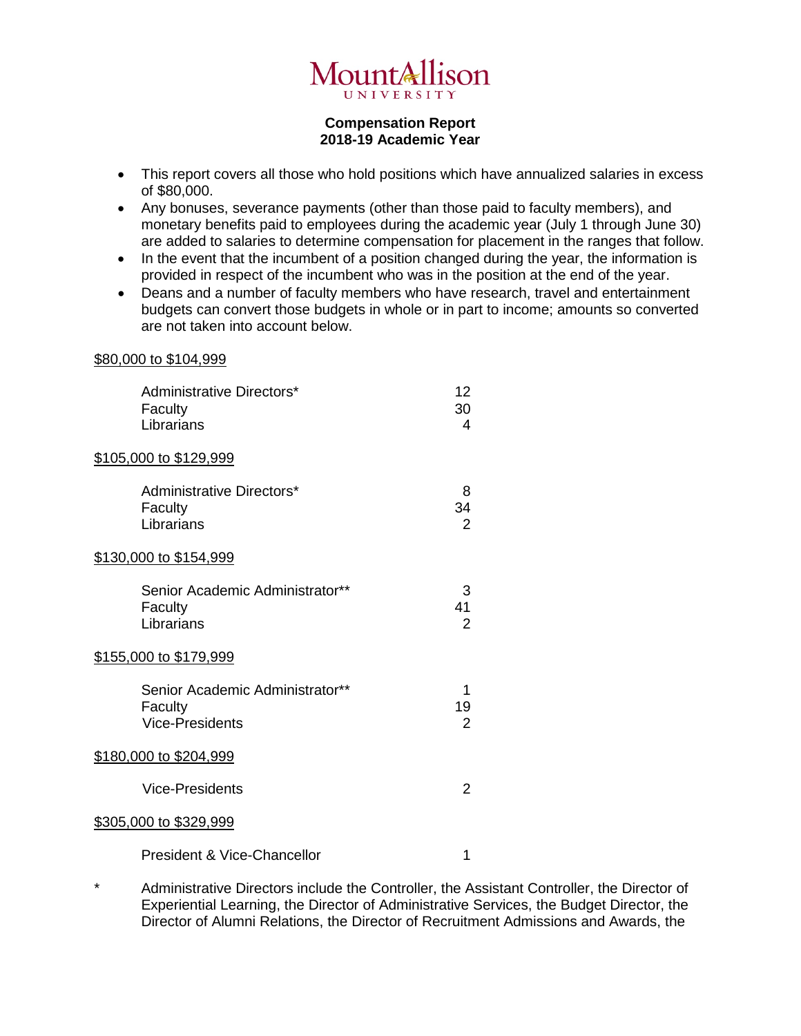

## **Compensation Report 2018-19 Academic Year**

- This report covers all those who hold positions which have annualized salaries in excess of \$80,000.
- Any bonuses, severance payments (other than those paid to faculty members), and monetary benefits paid to employees during the academic year (July 1 through June 30) are added to salaries to determine compensation for placement in the ranges that follow.
- In the event that the incumbent of a position changed during the year, the information is provided in respect of the incumbent who was in the position at the end of the year.
- Deans and a number of faculty members who have research, travel and entertainment budgets can convert those budgets in whole or in part to income; amounts so converted are not taken into account below.

## \$80,000 to \$104,999

| Administrative Directors*<br>Faculty<br>Librarians                   | 12<br>30<br>4             |
|----------------------------------------------------------------------|---------------------------|
| \$105,000 to \$129,999                                               |                           |
| Administrative Directors*<br>Faculty<br>Librarians                   | 8<br>34<br>$\overline{2}$ |
| <u>\$130,000 to \$154,999</u>                                        |                           |
| Senior Academic Administrator**<br>Faculty<br>Librarians             | 3<br>41<br>$\overline{2}$ |
| <u>\$155,000 to \$179,999</u>                                        |                           |
| Senior Academic Administrator**<br>Faculty<br><b>Vice-Presidents</b> | 1<br>19<br>$\overline{2}$ |
| <u>\$180,000 to \$204,999</u>                                        |                           |
| Vice-Presidents                                                      | $\overline{2}$            |
| \$305,000 to \$329,999                                               |                           |
| <b>President &amp; Vice-Chancellor</b>                               | 1                         |

\* Administrative Directors include the Controller, the Assistant Controller, the Director of Experiential Learning, the Director of Administrative Services, the Budget Director, the Director of Alumni Relations, the Director of Recruitment Admissions and Awards, the